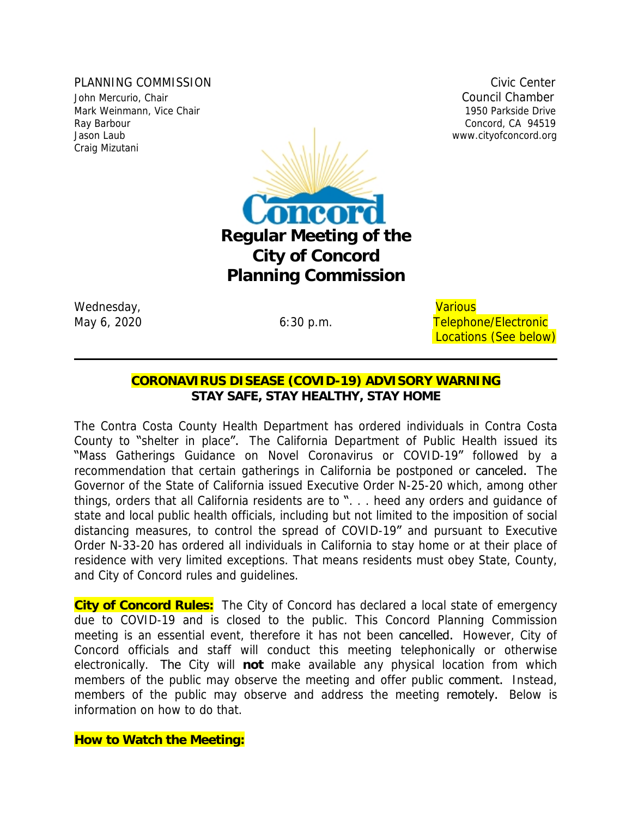PLANNING COMMISSION COMMISSION John Mercurio, Chair Council Chamber Mark Weinmann, Vice Chair 1950 Parkside Drive Craig Mizutani



Wednesday, and the contract of the contract of the contract of the contract of the contract of the contract of the contract of the contract of the contract of the contract of the contract of the contract of the contract of

May 6, 2020 **6:30 p.m.** Telephone/Electronic Locations (See below)

# **CORONAVIRUS DISEASE (COVID-19) ADVISORY WARNING** *STAY SAFE, STAY HEALTHY, STAY HOME*

The Contra Costa County Health Department has ordered individuals in Contra Costa County to "shelter in place". The California Department of Public Health issued its "Mass Gatherings Guidance on Novel Coronavirus or COVID-19" followed by a recommendation that certain gatherings in California be postponed or canceled. The Governor of the State of California issued Executive Order N-25-20 which, among other things, orders that all California residents are to ". . . heed any orders and guidance of state and local public health officials, including but not limited to the imposition of social distancing measures, to control the spread of COVID-19" and pursuant to Executive Order N-33-20 has ordered all individuals in California to stay home or at their place of residence with very limited exceptions. That means residents must obey State, County, and City of Concord rules and guidelines.

**City of Concord Rules:** The City of Concord has declared a local state of emergency due to COVID-19 and is closed to the public. This Concord Planning Commission meeting is an essential event, therefore it has not been cancelled. However, City of Concord officials and staff will conduct this meeting telephonically or otherwise electronically. The City will **not** make available any physical location from which members of the public may observe the meeting and offer public **comment.** Instead, members of the public may observe and address the meeting remotely. Below is information on how to do that.

**How to Watch the Meeting:**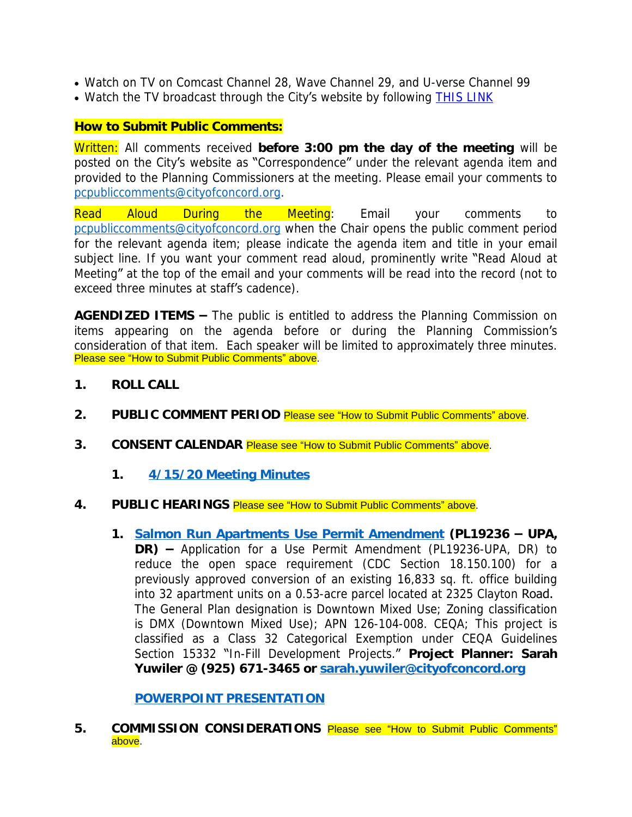- Watch on TV on Comcast Channel 28, Wave Channel 29, and U-verse Channel 99
- Watch the TV broadcast through the City's website by following [THIS LINK](http://204.195.93.6/cablecastapi/live?channel_id=1&use_cdn=true)

## **How to Submit Public Comments:**

Written: All comments received **before 3:00 pm the day of the meeting** will be posted on the City's website as "Correspondence" under the relevant agenda item and provided to the Planning Commissioners at the meeting. Please email your comments to [pcpubliccomments@cityofconcord.org](mailto:pcpubliccomments@cityofconcord.org).

Read Aloud During the Meeting: Email your comments to [pcpubliccomments@cityofconcord.org](mailto:pcpubliccomments@cityofconcord.org) when the Chair opens the public comment period for the relevant agenda item; please indicate the agenda item and title in your email subject line. If you want your comment read aloud, prominently write "Read Aloud at Meeting" at the top of the email and your comments will be read into the record (not to exceed three minutes at staff's cadence).

**AGENDIZED ITEMS –** The public is entitled to address the Planning Commission on items appearing on the agenda before or during the Planning Commission's consideration of that item. Each speaker will be limited to approximately three minutes. Please see "How to Submit Public Comments" above.

- **1. ROLL CALL**
- **2. PUBLIC COMMENT PERIOD** Please see "How to Submit Public Comments" above.
- **3. CONSENT CALENDAR** Please see "How to Submit Public Comments" above.
	- **1. [4/15/20 Meeting Minutes](https://www.cityofconcord.org/DocumentCenter/View/4555/041520-Draft-Minutes)**
- **[4.](https://www.cityofconcord.org/DocumentCenter/View/4555/041520-Draft-Minutes) [PUBLIC HEARINGS](https://www.cityofconcord.org/DocumentCenter/View/4555/041520-Draft-Minutes)** Please see "[How to Submit Public Comments](https://www.cityofconcord.org/DocumentCenter/View/4555/041520-Draft-Minutes)" above[.](https://www.cityofconcord.org/DocumentCenter/View/4555/041520-Draft-Minutes)
	- **[1.](https://www.cityofconcord.org/DocumentCenter/View/4555/041520-Draft-Minutes) [Salmon Run Apartments Use Permit Amendment](https://www.cityofconcord.org/DocumentCenter/View/4554/Salmon-Run-Second-Use-Permit-Amendment) (PL19236 – UPA, DR) –** Application for a Use Permit Amendment (PL19236-UPA, DR) to reduce the open space requirement (CDC Section 18.150.100) for a previously approved conversion of an existing 16,833 sq. ft. office building into 32 apartment units on a 0.53-acre parcel located at 2325 Clayton Road. The General Plan designation is Downtown Mixed Use; Zoning classification is DMX (Downtown Mixed Use); APN 126-104-008. CEQA; This project is classified as a Class 32 Categorical Exemption under CEQA Guidelines Section 15332 "In-Fill Development Projects." **Project Planner: Sarah Yuwiler @ (925) 671-3465 or [sarah.yuwiler@cityofconcord.org](mailto:sarah.yuwiler@cityofconcord.org)**

**[POWERPOINT PRESENTATION](http://cityofconcord.org/DocumentCenter/View/4575/Salmon-Run-PowerPoint)**

**[5.](http://cityofconcord.org/DocumentCenter/View/4575/Salmon-Run-PowerPoint) COMMISSION [CONSIDERATIONS](http://cityofconcord.org/DocumentCenter/View/4575/Salmon-Run-PowerPoint)** Please see "How to Submit Public [Comments](http://cityofconcord.org/DocumentCenter/View/4575/Salmon-Run-PowerPoint)" [above.](http://cityofconcord.org/DocumentCenter/View/4575/Salmon-Run-PowerPoint)